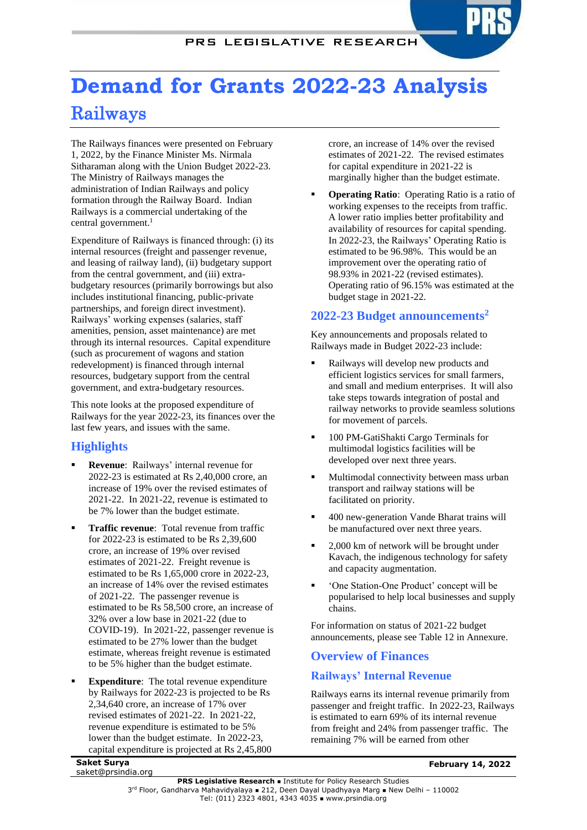## PRS LEGISLATIVE RESEARCH

# **Demand for Grants 2022-23 Analysis** Railways

The Railways finances were presented on February 1, 2022, by the Finance Minister Ms. Nirmala Sitharaman along with the Union Budget 2022-23. The Ministry of Railways manages the administration of Indian Railways and policy formation through the Railway Board. Indian Railways is a commercial undertaking of the central government.<sup>1</sup>

Expenditure of Railways is financed through: (i) its internal resources (freight and passenger revenue, and leasing of railway land), (ii) budgetary support from the central government, and (iii) extrabudgetary resources (primarily borrowings but also includes institutional financing, public-private partnerships, and foreign direct investment). Railways' working expenses (salaries, staff amenities, pension, asset maintenance) are met through its internal resources. Capital expenditure (such as procurement of wagons and station redevelopment) is financed through internal resources, budgetary support from the central government, and extra-budgetary resources.

This note looks at the proposed expenditure of Railways for the year 2022-23, its finances over the last few years, and issues with the same.

# **Highlights**

- **Revenue**: Railways' internal revenue for 2022-23 is estimated at Rs 2,40,000 crore, an increase of 19% over the revised estimates of 2021-22. In 2021-22, revenue is estimated to be 7% lower than the budget estimate.
- **Traffic revenue**: Total revenue from traffic for 2022-23 is estimated to be Rs 2,39,600 crore, an increase of 19% over revised estimates of 2021-22. Freight revenue is estimated to be Rs 1,65,000 crore in 2022-23, an increase of 14% over the revised estimates of 2021-22. The passenger revenue is estimated to be Rs 58,500 crore, an increase of 32% over a low base in 2021-22 (due to COVID-19). In 2021-22, passenger revenue is estimated to be 27% lower than the budget estimate, whereas freight revenue is estimated to be 5% higher than the budget estimate.
- **Expenditure:** The total revenue expenditure by Railways for 2022-23 is projected to be Rs 2,34,640 crore, an increase of 17% over revised estimates of 2021-22. In 2021-22, revenue expenditure is estimated to be 5% lower than the budget estimate. In 2022-23, capital expenditure is projected at Rs 2,45,800

crore, an increase of 14% over the revised estimates of 2021-22. The revised estimates for capital expenditure in 2021-22 is marginally higher than the budget estimate.

**Operating Ratio:** Operating Ratio is a ratio of working expenses to the receipts from traffic. A lower ratio implies better profitability and availability of resources for capital spending. In 2022-23, the Railways' Operating Ratio is estimated to be 96.98%. This would be an improvement over the operating ratio of 98.93% in 2021-22 (revised estimates). Operating ratio of 96.15% was estimated at the budget stage in 2021-22.

# <span id="page-0-0"></span>**2022-23 Budget announcements<sup>2</sup>**

Key announcements and proposals related to Railways made in Budget 2022-23 include:

- Railways will develop new products and efficient logistics services for small farmers, and small and medium enterprises. It will also take steps towards integration of postal and railway networks to provide seamless solutions for movement of parcels.
- 100 PM-GatiShakti Cargo Terminals for multimodal logistics facilities will be developed over next three years.
- Multimodal connectivity between mass urban transport and railway stations will be facilitated on priority.
- 400 new-generation Vande Bharat trains will be manufactured over next three years.
- 2,000 km of network will be brought under Kavach, the indigenous technology for safety and capacity augmentation.
- 'One Station-One Product' concept will be popularised to help local businesses and supply chains.

For information on status of 2021-22 budget announcements, please see [Table 12](#page-10-0) in Annexure.

# **Overview of Finances**

# **Railways' Internal Revenue**

Railways earns its internal revenue primarily from passenger and freight traffic. In 2022-23, Railways is estimated to earn 69% of its internal revenue from freight and 24% from passenger traffic. The remaining 7% will be earned from other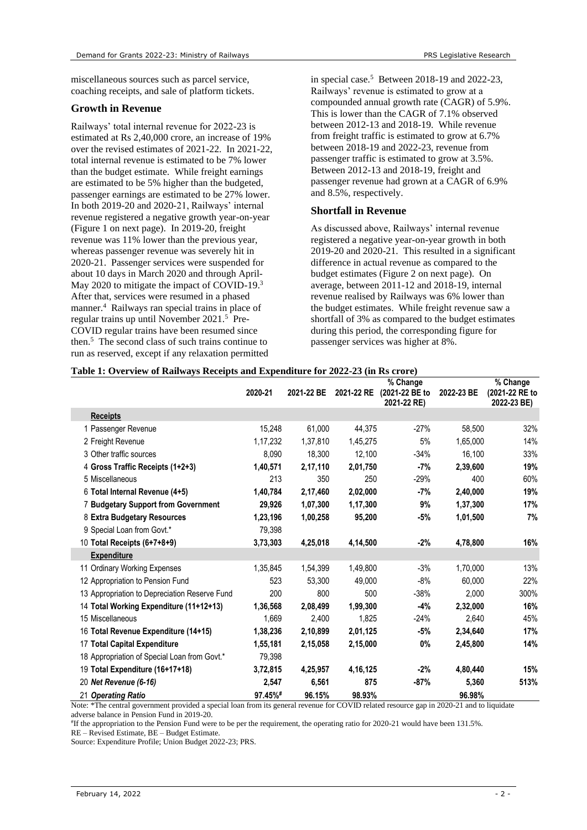miscellaneous sources such as parcel service, coaching receipts, and sale of platform tickets.

#### **Growth in Revenue**

Railways' total internal revenue for 2022-23 is estimated at Rs 2,40,000 crore, an increase of 19% over the revised estimates of 2021-22. In 2021-22, total internal revenue is estimated to be 7% lower than the budget estimate. While freight earnings are estimated to be 5% higher than the budgeted, passenger earnings are estimated to be 27% lower. In both 2019-20 and 2020-21, Railways' internal revenue registered a negative growth year-on-year [\(Figure 1](#page-2-0) on next page). In 2019-20, freight revenue was 11% lower than the previous year, whereas passenger revenue was severely hit in 2020-21. Passenger services were suspended for about 10 days in March 2020 and through April-May 2020 to mitigate the impact of COVID-19.<sup>3</sup> After that, services were resumed in a phased manner.<sup>4</sup> Railways ran special trains in place of regular trains up until November 2021.<sup>5</sup> Pre-COVID regular trains have been resumed since the[n.](#page-1-0)<sup>5</sup> The second class of such trains continue to run as reserved, except if any relaxation permitted

in special cas[e.](#page-1-0)<sup>5</sup> Between 2018-19 and 2022-23, Railways' revenue is estimated to grow at a compounded annual growth rate (CAGR) of 5.9%. This is lower than the CAGR of 7.1% observed between 2012-13 and 2018-19. While revenue from freight traffic is estimated to grow at 6.7% between 2018-19 and 2022-23, revenue from passenger traffic is estimated to grow at 3.5%. Between 2012-13 and 2018-19, freight and passenger revenue had grown at a CAGR of 6.9% and 8.5%, respectively.

#### **Shortfall in Revenue**

<span id="page-1-0"></span>As discussed above, Railways' internal revenue registered a negative year-on-year growth in both 2019-20 and 2020-21. This resulted in a significant difference in actual revenue as compared to the budget estimates [\(Figure 2](#page-2-1) on next page). On average, between 2011-12 and 2018-19, internal revenue realised by Railways was 6% lower than the budget estimates. While freight revenue saw a shortfall of 3% as compared to the budget estimates during this period, the corresponding figure for passenger services was higher at 8%.

|                                               |          |            |            | % Change                      |            | % Change                      |
|-----------------------------------------------|----------|------------|------------|-------------------------------|------------|-------------------------------|
|                                               | 2020-21  | 2021-22 BE | 2021-22 RE | (2021-22 BE to<br>2021-22 RE) | 2022-23 BE | (2021-22 RE to<br>2022-23 BE) |
| <b>Receipts</b>                               |          |            |            |                               |            |                               |
| 1 Passenger Revenue                           | 15,248   | 61,000     | 44,375     | $-27%$                        | 58,500     | 32%                           |
| 2 Freight Revenue                             | 1,17,232 | 1,37,810   | 1,45,275   | 5%                            | 1,65,000   | 14%                           |
| 3 Other traffic sources                       | 8,090    | 18,300     | 12,100     | $-34%$                        | 16,100     | 33%                           |
| 4 Gross Traffic Receipts (1+2+3)              | 1,40,571 | 2,17,110   | 2,01,750   | -7%                           | 2,39,600   | 19%                           |
| 5 Miscellaneous                               | 213      | 350        | 250        | $-29%$                        | 400        | 60%                           |
| 6 Total Internal Revenue (4+5)                | 1,40,784 | 2,17,460   | 2,02,000   | $-7%$                         | 2,40,000   | 19%                           |
| 7 Budgetary Support from Government           | 29,926   | 1,07,300   | 1,17,300   | 9%                            | 1,37,300   | 17%                           |
| 8 Extra Budgetary Resources                   | 1,23,196 | 1,00,258   | 95,200     | $-5%$                         | 1,01,500   | 7%                            |
| 9 Special Loan from Govt.*                    | 79,398   |            |            |                               |            |                               |
| 10 Total Receipts (6+7+8+9)                   | 3,73,303 | 4,25,018   | 4,14,500   | $-2%$                         | 4,78,800   | 16%                           |
| <b>Expenditure</b>                            |          |            |            |                               |            |                               |
| 11 Ordinary Working Expenses                  | 1,35,845 | 1,54,399   | 1,49,800   | $-3%$                         | 1,70,000   | 13%                           |
| 12 Appropriation to Pension Fund              | 523      | 53,300     | 49,000     | $-8%$                         | 60,000     | 22%                           |
| 13 Appropriation to Depreciation Reserve Fund | 200      | 800        | 500        | $-38%$                        | 2,000      | 300%                          |
| 14 Total Working Expenditure (11+12+13)       | 1,36,568 | 2,08,499   | 1,99,300   | $-4%$                         | 2,32,000   | 16%                           |
| 15 Miscellaneous                              | 1,669    | 2,400      | 1,825      | $-24%$                        | 2,640      | 45%                           |
| 16 Total Revenue Expenditure (14+15)          | 1,38,236 | 2,10,899   | 2,01,125   | $-5%$                         | 2,34,640   | 17%                           |
| 17 Total Capital Expenditure                  | 1,55,181 | 2,15,058   | 2,15,000   | 0%                            | 2,45,800   | 14%                           |
| 18 Appropriation of Special Loan from Govt.*  | 79,398   |            |            |                               |            |                               |
| 19 Total Expenditure (16+17+18)               | 3,72,815 | 4,25,957   | 4, 16, 125 | $-2%$                         | 4,80,440   | 15%                           |
| 20 Net Revenue (6-16)                         | 2.547    | 6,561      | 875        | $-87%$                        | 5,360      | 513%                          |
| 21 Operating Ratio                            | 97.45%#  | 96.15%     | 98.93%     |                               | 96.98%     |                               |

#### **Table 1: Overview of Railways Receipts and Expenditure for 2022-23 (in Rs crore)**

Note: \*The central government provided a special loan from its general revenue for COVID related resource gap in 2020-21 and to liquidate adverse balance in Pension Fund in 2019-20.

# If the appropriation to the Pension Fund were to be per the requirement, the operating ratio for 2020-21 would have been 131.5%. RE – Revised Estimate, BE – Budget Estimate.

Source: Expenditure Profile; Union Budget 2022-23; PRS.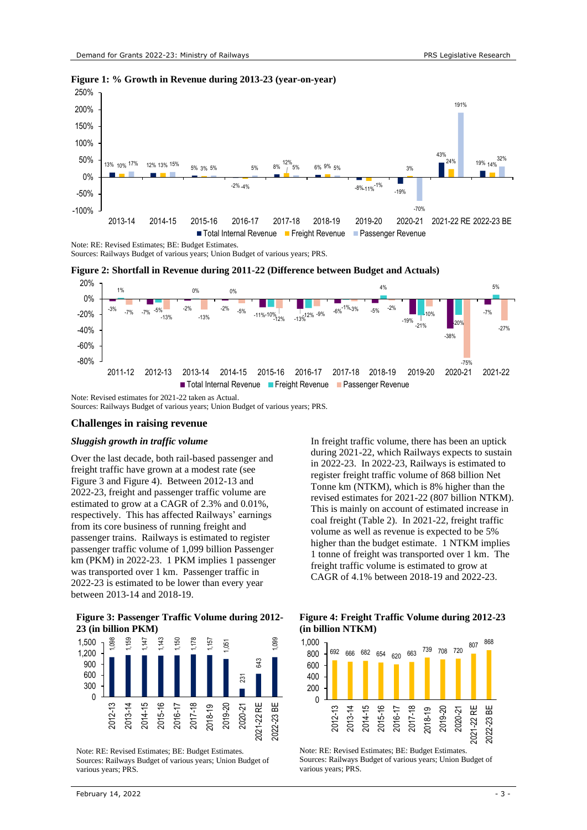

#### <span id="page-2-0"></span>**Figure 1: % Growth in Revenue during 2013-23 (year-on-year)**

Note: RE: Revised Estimates; BE: Budget Estimates.

Sources: Railways Budget of various years; Union Budget of various years; PRS.

<span id="page-2-1"></span>**Figure 2: Shortfall in Revenue during 2011-22 (Difference between Budget and Actuals)**



Note: Revised estimates for 2021-22 taken as Actual. Sources: Railways Budget of various years; Union Budget of various years; PRS.

#### **Challenges in raising revenue**

#### *Sluggish growth in traffic volume*

Over the last decade, both rail-based passenger and freight traffic have grown at a modest rate (see [Figure 3](#page-2-2) and [Figure 4\)](#page-2-3). Between 2012-13 and 2022-23, freight and passenger traffic volume are estimated to grow at a CAGR of 2.3% and 0.01%, respectively. This has affected Railways' earnings from its core business of running freight and passenger trains. Railways is estimated to register passenger traffic volume of 1,099 billion Passenger km (PKM) in 2022-23. 1 PKM implies 1 passenger was transported over 1 km. Passenger traffic in 2022-23 is estimated to be lower than every year between 2013-14 and 2018-19.

#### <span id="page-2-2"></span>**Figure 3: Passenger Traffic Volume during 2012- 23 (in billion PKM)**



Note: RE: Revised Estimates; BE: Budget Estimates. Sources: Railways Budget of various years; Union Budget of various years; PRS.

In freight traffic volume, there has been an uptick during 2021-22, which Railways expects to sustain in 2022-23. In 2022-23, Railways is estimated to register freight traffic volume of 868 billion Net Tonne km (NTKM), which is 8% higher than the revised estimates for 2021-22 (807 billion NTKM). This is mainly on account of estimated increase in coal freight [\(Table 2\)](#page-3-0). In 2021-22, freight traffic volume as well as revenue is expected to be 5% higher than the budget estimate. 1 NTKM implies 1 tonne of freight was transported over 1 km. The freight traffic volume is estimated to grow at CAGR of 4.1% between 2018-19 and 2022-23.

#### <span id="page-2-3"></span>**Figure 4: Freight Traffic Volume during 2012-23 (in billion NTKM)**



Note: RE: Revised Estimates; BE: Budget Estimates. Sources: Railways Budget of various years; Union Budget of various years; PRS.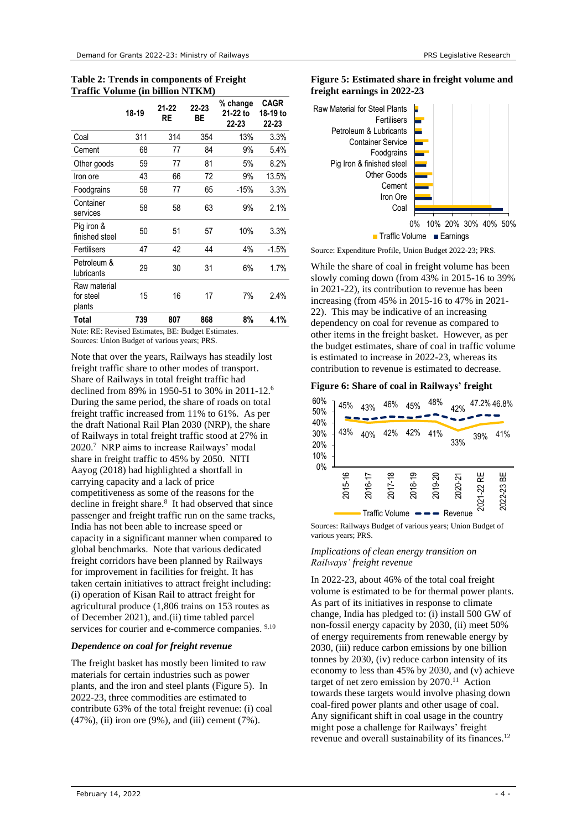<span id="page-3-0"></span>**Table 2: Trends in components of Freight Traffic Volume (in billion NTKM)**

|                                     | 18-19 | $21 - 22$<br>RE | 22-23<br>ВE | % change<br>21-22 to<br>22-23 | <b>CAGR</b><br>18-19 to<br>22-23 |
|-------------------------------------|-------|-----------------|-------------|-------------------------------|----------------------------------|
| Coal                                | 311   | 314             | 354         | 13%                           | 3.3%                             |
| Cement                              | 68    | 77              | 84          | 9%                            | 5.4%                             |
| Other goods                         | 59    | 77              | 81          | 5%                            | 8.2%                             |
| Iron ore                            | 43    | 66              | 72          | 9%                            | 13.5%                            |
| Foodgrains                          | 58    | 77              | 65          | $-15%$                        | 3.3%                             |
| Container<br>services               | 58    | 58              | 63          | 9%                            | 2.1%                             |
| Pig iron &<br>finished steel        | 50    | 51              | 57          | 10%                           | 3.3%                             |
| Fertilisers                         | 47    | 42              | 44          | 4%                            | $-1.5%$                          |
| Petroleum &<br><b>lubricants</b>    | 29    | 30              | 31          | 6%                            | 1.7%                             |
| Raw material<br>for steel<br>plants | 15    | 16              | 17          | 7%                            | 2.4%                             |
| Total                               | 739   | 807             | 868         | 8%                            | 4.1%                             |

Note: RE: Revised Estimates, BE: Budget Estimates. Sources: Union Budget of various years; PRS.

<span id="page-3-3"></span>Note that over the years, Railways has steadily lost freight traffic share to other modes of transport. Share of Railways in total freight traffic had declined from 89% in 1950-51 to 30% in 2011-12.<sup>6</sup> During the same period, the share of roads on total freight traffic increased from 11% to 61%. As per the draft National Rail Plan 2030 (NRP), the share of Railways in total freight traffic stood at 27% in 2020.<sup>7</sup> NRP aims to increase Railways' modal share in freight traffic to 45% by 2050. NITI Aayog (2018) had highlighted a shortfall in carrying capacity and a lack of price competitiveness as some of the reasons for the decline in freight share.<sup>8</sup> It had observed that since passenger and freight traffic run on the same tracks, India has not been able to increase speed or capacity in a significant manner when compared to global benchmarks. Note that various dedicated freight corridors have been planned by Railways for improvement in facilities for freight. It has taken certain initiatives to attract freight including: (i) operation of Kisan Rail to attract freight for agricultural produce (1,806 trains on 153 routes as of December 2021), and.(ii) time tabled parcel services for courier and e-commerce companies. <sup>9,10</sup>

#### *Dependence on coal for freight revenue*

The freight basket has mostly been limited to raw materials for certain industries such as power plants, and the iron and steel plants [\(Figure 5\)](#page-3-1). In 2022-23, three commodities are estimated to contribute 63% of the total freight revenue: (i) coal (47%), (ii) iron ore (9%), and (iii) cement (7%).

#### <span id="page-3-1"></span>**Figure 5: Estimated share in freight volume and freight earnings in 2022-23**



Source: Expenditure Profile, Union Budget 2022-23; PRS.

While the share of coal in freight volume has been slowly coming down (from 43% in 2015-16 to 39% in 2021-22), its contribution to revenue has been increasing (from 45% in 2015-16 to 47% in 2021- 22). This may be indicative of an increasing dependency on coal for revenue as compared to other items in the freight basket. However, as per the budget estimates, share of coal in traffic volume is estimated to increase in 2022-23, whereas its contribution to revenue is estimated to decrease.

#### **Figure 6: Share of coal in Railways' freight**

| 60%<br>50%                     | 45%     | 43%     | 46%                       | 45%     | 48%     | 42%                | 47.2% 46.8% |            |
|--------------------------------|---------|---------|---------------------------|---------|---------|--------------------|-------------|------------|
| 40%<br>30%<br>20%<br>10%<br>0% | 43%     | 40%     | 42%                       | 42%     | 41%     | 33%                | 39%         | 41%        |
|                                | 2015-16 | 2016-17 | 2017-18<br>Traffic Volume | 2018-19 | 2019-20 | 2020-21<br>Revenue | 2021-22 RE  | 2022-23 BE |

<span id="page-3-2"></span>Sources: Railways Budget of various years; Union Budget of various years; PRS.

#### *Implications of clean energy transition on Railways' freight revenue*

In 2022-23, about 46% of the total coal freight volume is estimated to be for thermal power plants. As part of its initiatives in response to climate change, India has pledged to: (i) install 500 GW of non-fossil energy capacity by 2030, (ii) meet 50% of energy requirements from renewable energy by 2030, (iii) reduce carbon emissions by one billion tonnes by 2030, (iv) reduce carbon intensity of its economy to less than 45% by 2030, and (v) achieve target of net zero emission by 2070. 11 Action towards these targets would involve phasing down coal-fired power plants and other usage of coal. Any significant shift in coal usage in the country might pose a challenge for Railways' freight revenue and overall sustainability of its finances.<sup>[12](#page-4-0)</sup>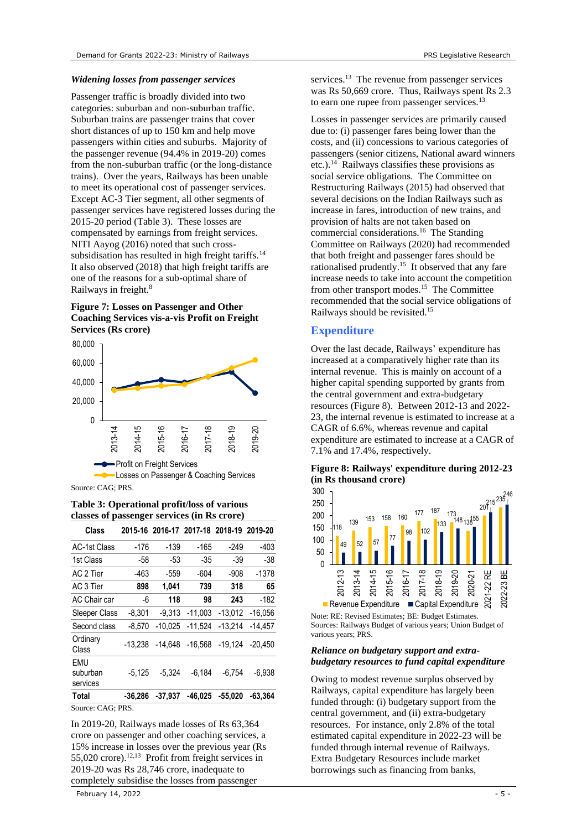#### *Widening losses from passenger services*

Passenger traffic is broadly divided into two categories: suburban and non-suburban traffic. Suburban trains are passenger trains that cover short distances of up to 150 km and help move passengers within cities and suburbs. Majority of the passenger revenue (94.4% in 2019-20) comes from the non-suburban traffic (or the long-distance trains). Over the years, Railways has been unable to meet its operational cost of passenger services. Except AC-3 Tier segment, all other segments of passenger services have registered losses during the 2015-20 period [\(Table 3\)](#page-4-1). These losses are compensated by earnings from freight services. NITI Aayog (2016) noted that such cross-subsidisation has resulted in high freight tariffs.<sup>[14](#page-4-2)</sup> It also observed (2018) that high freight tariffs are one of the reasons for a sub-optimal share of Railways in freight[.](#page-3-2)<sup>8</sup>

#### **Figure 7: Losses on Passenger and Other Coaching Services vis-a-vis Profit on Freight Services (Rs crore)**



Source: CAG; PRS.

<span id="page-4-1"></span>**Table 3: Operational profit/loss of various classes of passenger services (in Rs crore)**

| Class                              |           |           | 2015-16 2016-17 2017-18 2018-19 2019-20 |           |           |
|------------------------------------|-----------|-----------|-----------------------------------------|-----------|-----------|
| <b>AC-1st Class</b>                | -176      | $-139$    | -165                                    | -249      | $-403$    |
| 1st Class                          | -58       | $-53$     | -35                                     | $-39$     | $-38$     |
| AC 2 Tier                          | $-463$    | $-559$    | $-604$                                  | $-908$    | $-1378$   |
| AC 3 Tier                          | 898       | 1.041     | 739                                     | 318       | 65        |
| AC Chair car                       | -6        | 118       | 98                                      | 243       | $-182$    |
| Sleeper Class                      | $-8,301$  | $-9.313$  | $-11.003$                               | $-13.012$ | $-16,056$ |
| Second class                       | $-8.570$  | $-10.025$ | $-11.524$                               | $-13.214$ | $-14.457$ |
| Ordinary<br>Class                  | $-13.238$ | $-14.648$ | $-16.568$                               | $-19.124$ | $-20.450$ |
| <b>EMU</b><br>suburban<br>services | $-5.125$  | $-5.324$  | $-6.184$                                | $-6.754$  | $-6.938$  |
| <b>Total</b>                       | $-36.286$ | -37.937   | -46.025                                 | -55.020   | -63.364   |
| $\alpha$ $\alpha \alpha$ $\beta$   |           |           |                                         |           |           |

Source: CAG; PRS.

<span id="page-4-3"></span><span id="page-4-0"></span>In 2019-20, Railways made losses of Rs 63,364 crore on passenger and other coaching services, a 15% increase in losses over the previous year (Rs 55,020 crore).<sup>12,13</sup> Profit from freight services in 2019-20 was Rs 28,746 crore, inadequate to completely subsidise the losses from passenger

services.<sup>[13](#page-4-3)</sup> The revenue from passenger services was Rs 50,669 crore. Thus, Railways spent Rs 2.3 to earn one rupee from passenger services.<sup>[13](#page-4-3)</sup>

<span id="page-4-2"></span>Losses in passenger services are primarily caused due to: (i) passenger fares being lower than the costs, and (ii) concessions to various categories of passengers (senior citizens, National award winners etc.).<sup>14</sup> Railways classifies these provisions as social service obligations. The Committee on Restructuring Railways (2015) had observed that several decisions on the Indian Railways such as increase in fares, introduction of new trains, and provision of halts are not taken based on commercial considerations.<sup>[16](#page-5-0)</sup> The Standing Committee on Railways (2020) had recommended that both freight and passenger fares should be rationalised prudently.<sup>15</sup> It observed that any fare increase needs to take into account the competition from other transport modes.<sup>[15](#page-4-4)</sup> The Committee recommended that the social service obligations of Railways should be revisited.[15](#page-4-4)

# <span id="page-4-4"></span>**Expenditure**

Over the last decade, Railways' expenditure has increased at a comparatively higher rate than its internal revenue. This is mainly on account of a higher capital spending supported by grants from the central government and extra-budgetary resources [\(Figure 8\)](#page-4-5). Between 2012-13 and 2022- 23, the internal revenue is estimated to increase at a CAGR of 6.6%, whereas revenue and capital expenditure are estimated to increase at a CAGR of 7.1% and 17.4%, respectively.

#### <span id="page-4-5"></span>**Figure 8: Railways' expenditure during 2012-23 (in Rs thousand crore)**



Note: RE: Revised Estimates; BE: Budget Estimates. Sources: Railways Budget of various years; Union Budget of various years; PRS.

#### *Reliance on budgetary support and extrabudgetary resources to fund capital expenditure*

Owing to modest revenue surplus observed by Railways, capital expenditure has largely been funded through: (i) budgetary support from the central government, and (ii) extra-budgetary resources. For instance, only 2.8% of the total estimated capital expenditure in 2022-23 will be funded through internal revenue of Railways. Extra Budgetary Resources include market borrowings such as financing from banks,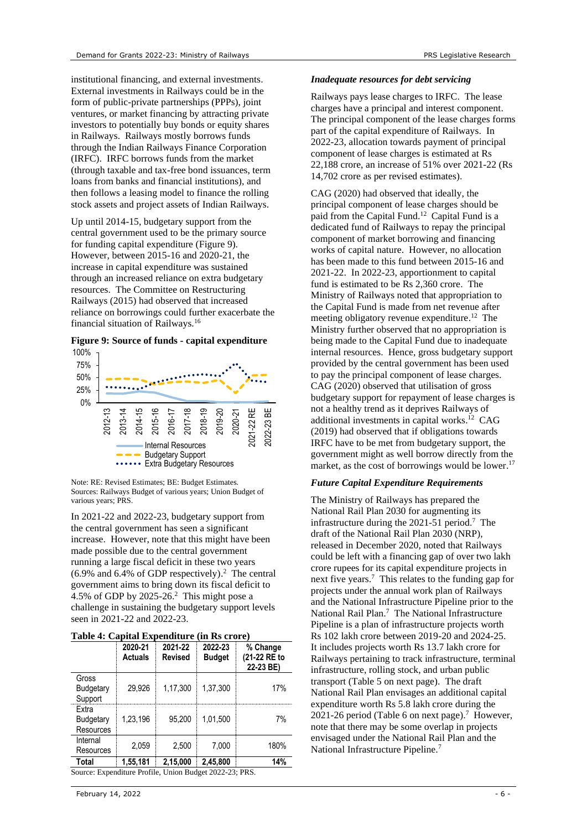institutional financing, and external investments. External investments in Railways could be in the form of public-private partnerships (PPPs), joint ventures, or market financing by attracting private investors to potentially buy bonds or equity shares in Railways. Railways mostly borrows funds through the Indian Railways Finance Corporation (IRFC). IRFC borrows funds from the market (through taxable and tax-free bond issuances, term loans from banks and financial institutions), and then follows a leasing model to finance the rolling stock assets and project assets of Indian Railways.

Up until 2014-15, budgetary support from the central government used to be the primary source for funding capital expenditure [\(Figure 9\)](#page-5-1). However, between 2015-16 and 2020-21, the increase in capital expenditure was sustained through an increased reliance on extra budgetary resources. The Committee on Restructuring Railways (2015) had observed that increased reliance on borrowings could further exacerbate the financial situation of Railways.<sup>16</sup>

#### <span id="page-5-1"></span><span id="page-5-0"></span>**Figure 9: Source of funds - capital expenditure**



Note: RE: Revised Estimates; BE: Budget Estimates. Sources: Railways Budget of various years; Union Budget of various years; PRS.

In 2021-22 and 2022-23, budgetary support from the central government has seen a significant increase. However, note that this might have been made possible due to the central government running a large fiscal deficit in these two years (6.9% and 6.4% of GDP respectively)[.](#page-0-0) 2 The central government aims to bring down its fiscal deficit to 4.5% of GDP by  $2025-26$  $2025-26$ .<sup>2</sup> This might pose a challenge in sustaining the budgetary support levels seen in 2021-22 and 2022-23.

#### **Table 4: Capital Expenditure (in Rs crore)**

|                                                         | 2020-21<br><b>Actuals</b> | 2021-22<br><b>Revised</b> | 2022-23<br><b>Budget</b> | % Change<br>(21-22 RE to<br>22-23 BE) |  |  |
|---------------------------------------------------------|---------------------------|---------------------------|--------------------------|---------------------------------------|--|--|
| Gross<br>Budgetary<br>Support                           | 29.926                    | 1.17.300                  | 1,37,300                 | 17%                                   |  |  |
| Extra<br>Budgetary<br><b>Resources</b>                  | 1.23.196                  | 95.200                    | 1.01.500                 | 7%                                    |  |  |
| Internal<br>Resources                                   | 2.059                     | 2,500                     | 7,000                    | 180%                                  |  |  |
| Total                                                   | 1,55,181                  | 2,15,000                  | 2.45.800                 | 14%                                   |  |  |
| Source: Expenditure Profile, Union Budget 2022-23; PRS. |                           |                           |                          |                                       |  |  |

#### *Inadequate resources for debt servicing*

Railways pays lease charges to IRFC. The lease charges have a principal and interest component. The principal component of the lease charges forms part of the capital expenditure of Railways. In 2022-23, allocation towards payment of principal component of lease charges is estimated at Rs 22,188 crore, an increase of 51% over 2021-22 (Rs 14,702 crore as per revised estimates).

CAG (2020) had observed that ideally, the principal component of lease charges should be paid from the Capital Fund.[12](#page-4-0) Capital Fund is a dedicated fund of Railways to repay the principal component of market borrowing and financing works of capital nature. However, no allocation has been made to this fund between 2015-16 and 2021-22. In 2022-23, apportionment to capital fund is estimated to be Rs 2,360 crore. The Ministry of Railways noted that appropriation to the Capital Fund is made from net revenue after meeting obligatory revenue expenditure.<sup>[12](#page-4-0)</sup> The Ministry further observed that no appropriation is being made to the Capital Fund due to inadequate internal resources. Hence, gross budgetary support provided by the central government has been used to pay the principal component of lease charges. CAG (2020) observed that utilisation of gross budgetary support for repayment of lease charges is not a healthy trend as it deprives Railways of additional investments in capital works. [12](#page-4-0) CAG (2019) had observed that if obligations towards IRFC have to be met from budgetary support, the government might as well borrow directly from the market, as the cost of borrowings would be lower.<sup>17</sup>

#### *Future Capital Expenditure Requirements*

The Ministry of Railways has prepared the National Rail Plan 2030 for augmenting its infrastructure during the 2021-51 period[.](#page-3-3) <sup>7</sup> The draft of the National Rail Plan 2030 (NRP), released in December 2020, noted that Railways could be left with a financing gap of over two lakh crore rupees for its capital expenditure projects in next five year[s.](#page-3-3)<sup>7</sup> This relates to the funding gap for projects under the annual work plan of Railways and the National Infrastructure Pipeline prior to the National Rail Pla[n.](#page-3-3) 7 The National Infrastructure Pipeline is a plan of infrastructure projects worth Rs 102 lakh crore between 2019-20 and 2024-25. It includes projects worth Rs 13.7 lakh crore for Railways pertaining to track infrastructure, terminal infrastructure, rolling stock, and urban public transport (Table 5 on next page). The draft National Rail Plan envisages an additional capital expenditure worth Rs 5.8 lakh crore during the 2021-26 period [\(Table 6](#page-6-0) on next page)[.](#page-3-3)<sup>7</sup> However, note that there may be some overlap in projects envisaged under the National Rail Plan and the National Infrastructure Pipeline[.](#page-3-3)<sup>7</sup>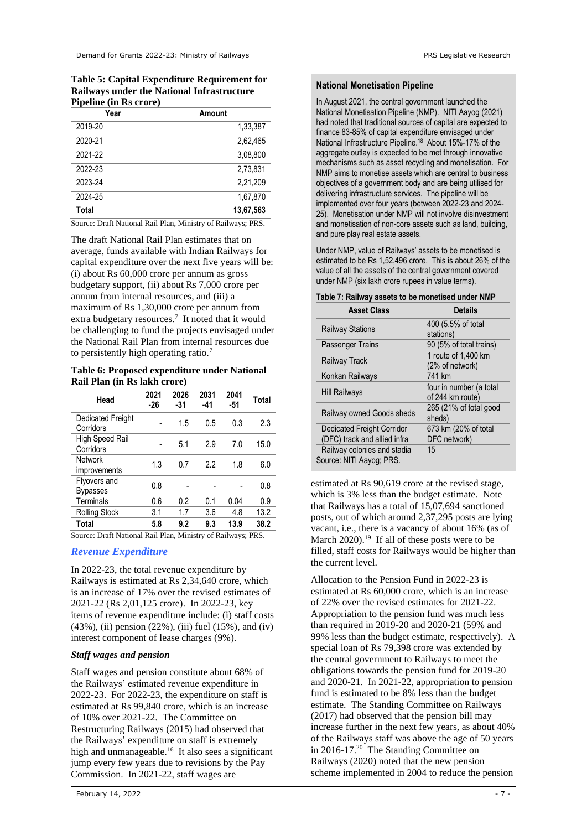| <b>Table 5: Capital Expenditure Requirement for</b> |
|-----------------------------------------------------|
| <b>Railways under the National Infrastructure</b>   |
| <b>Pipeline (in Rs crore)</b>                       |

| Year    | Amount    |
|---------|-----------|
| 2019-20 | 1,33,387  |
| 2020-21 | 2,62,465  |
| 2021-22 | 3,08,800  |
| 2022-23 | 2,73,831  |
| 2023-24 | 2,21,209  |
| 2024-25 | 1,67,870  |
| Total   | 13,67,563 |

Source: Draft National Rail Plan, Ministry of Railways; PRS.

The draft National Rail Plan estimates that on average, funds available with Indian Railways for capital expenditure over the next five years will be: (i) about Rs 60,000 crore per annum as gross budgetary support, (ii) about Rs 7,000 crore per annum from internal resources, and (iii) a maximum of Rs 1,30,000 crore per annum from extrabudgetary resources.<sup>7</sup> It noted that it would be challenging to fund the projects envisaged under the National Rail Plan from internal resources due to persistently high operating ratio[.](#page-3-3)<sup>7</sup>

#### <span id="page-6-0"></span>**Table 6: Proposed expenditure under National Rail Plan (in Rs lakh crore)**

| Head                            | 2021<br>-26 | 2026<br>-31 | 2031<br>-41 | 2041<br>-51 | Total |
|---------------------------------|-------------|-------------|-------------|-------------|-------|
| Dedicated Freight<br>Corridors  |             | 1.5         | 0.5         | 0.3         | 2.3   |
| High Speed Rail<br>Corridors    |             | 5.1         | 2.9         | 7.0         | 15.0  |
| <b>Network</b><br>improvements  | 1.3         | 0.7         | 22          | 1.8         | 6.0   |
| Flyovers and<br><b>Bypasses</b> | 0.8         |             |             |             | 0.8   |
| Terminals                       | 0.6         | 0.2         | 0.1         | 0.04        | 0.9   |
| <b>Rolling Stock</b>            | 3.1         | 1.7         | 3.6         | 4.8         | 13.2  |
| Total                           | 5.8         | 9.2         | 9.3         | 13.9        | 38.2  |

Source: Draft National Rail Plan, Ministry of Railways; PRS.

#### *Revenue Expenditure*

In 2022-23, the total revenue expenditure by Railways is estimated at Rs 2,34,640 crore, which is an increase of 17% over the revised estimates of 2021-22 (Rs 2,01,125 crore). In 2022-23, key items of revenue expenditure include: (i) staff costs  $(43\%)$ , (ii) pension (22%), (iii) fuel (15%), and (iv) interest component of lease charges (9%).

#### *Staff wages and pension*

Staff wages and pension constitute about 68% of the Railways' estimated revenue expenditure in 2022-23. For 2022-23, the expenditure on staff is estimated at Rs 99,840 crore, which is an increase of 10% over 2021-22. The Committee on Restructuring Railways (2015) had observed that the Railways' expenditure on staff is extremely high and unmanageable.<sup>[16](#page-5-0)</sup> It also sees a significant jump every few years due to revisions by the Pay Commission. In 2021-22, staff wages are

#### **National Monetisation Pipeline**

In August 2021, the central government launched the National Monetisation Pipeline (NMP). NITI Aayog (2021) had noted that traditional sources of capital are expected to finance 83-85% of capital expenditure envisaged under National Infrastructure Pipeline.<sup>18</sup> About 15%-17% of the aggregate outlay is expected to be met through innovative mechanisms such as asset recycling and monetisation. For NMP aims to monetise assets which are central to business objectives of a government body and are being utilised for delivering infrastructure services. The pipeline will be implemented over four years (between 2022-23 and 2024- 25). Monetisation under NMP will not involve disinvestment and monetisation of non-core assets such as land, building, and pure play real estate assets.

Under NMP, value of Railways' assets to be monetised is estimated to be Rs 1,52,496 crore. This is about 26% of the value of all the assets of the central government covered under NMP (six lakh crore rupees in value terms).

| <b>Asset Class</b>           | <b>Details</b>          |
|------------------------------|-------------------------|
| <b>Railway Stations</b>      | 400 (5.5% of total      |
|                              | stations)               |
| Passenger Trains             | 90 (5% of total trains) |
|                              | 1 route of 1,400 km     |
| <b>Railway Track</b>         | (2% of network)         |
| Konkan Railways              | 741 km                  |
|                              | four in number (a total |
| <b>Hill Railways</b>         | of 244 km route)        |
| Railway owned Goods sheds    | 265 (21% of total good  |
|                              | sheds)                  |
| Dedicated Freight Corridor   | 673 km (20% of total    |
| (DFC) track and allied infra | DFC network)            |
| Railway colonies and stadia  | 15                      |
| Source: NITI Aayog; PRS.     |                         |

### **Table 7: Railway assets to be monetised under NMP**

estimated at Rs 90,619 crore at the revised stage, which is 3% less than the budget estimate. Note that Railways has a total of 15,07,694 sanctioned posts, out of which around 2,37,295 posts are lying vacant, i.e., there is a vacancy of about 16% (as of March  $2020$ .<sup>19</sup> If all of these posts were to be filled, staff costs for Railways would be higher than the current level.

Allocation to the Pension Fund in 2022-23 is estimated at Rs 60,000 crore, which is an increase of 22% over the revised estimates for 2021-22. Appropriation to the pension fund was much less than required in 2019-20 and 2020-21 (59% and 99% less than the budget estimate, respectively). A special loan of Rs 79,398 crore was extended by the central government to Railways to meet the obligations towards the pension fund for 2019-20 and 2020-21. In 2021-22, appropriation to pension fund is estimated to be 8% less than the budget estimate. The Standing Committee on Railways (2017) had observed that the pension bill may increase further in the next few years, as about 40% of the Railways staff was above the age of 50 years in 2016-17.<sup>20</sup> The Standing Committee on Railways (2020) noted that the new pension scheme implemented in 2004 to reduce the pension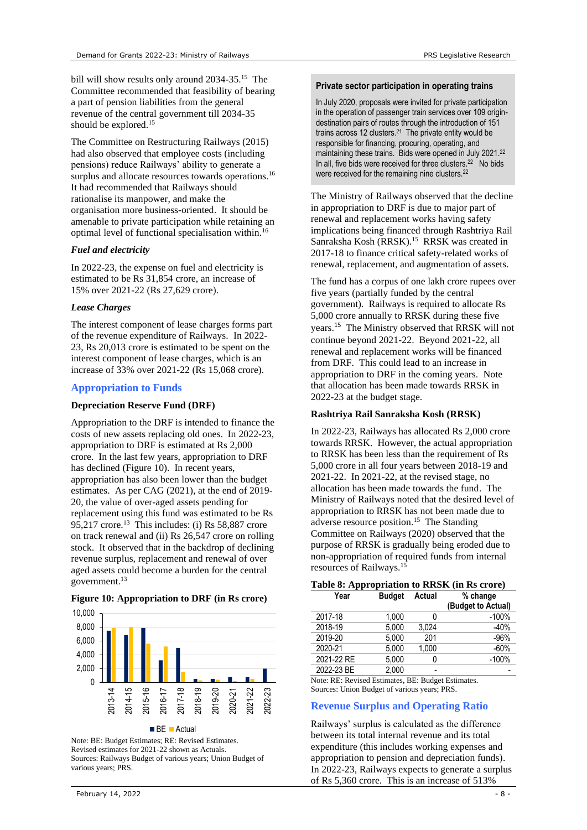bill will show results only around 2034-35.<sup>[15](#page-4-4)</sup> The Committee recommended that feasibility of bearing a part of pension liabilities from the general revenue of the central government till 2034-35 should be explored.<sup>[15](#page-4-4)</sup>

The Committee on Restructuring Railways (2015) had also observed that employee costs (including pensions) reduce Railways' ability to generate a surplus and allocate resources towards operations.<sup>[16](#page-5-0)</sup> It had recommended that Railways should rationalise its manpower, and make the organisation more business-oriented. It should be amenable to private participation while retaining an optimal level of functional specialisation within.<sup>[16](#page-5-0)</sup>

#### *Fuel and electricity*

In 2022-23, the expense on fuel and electricity is estimated to be Rs 31,854 crore, an increase of 15% over 2021-22 (Rs 27,629 crore).

#### *Lease Charges*

The interest component of lease charges forms part of the revenue expenditure of Railways. In 2022- 23, Rs 20,013 crore is estimated to be spent on the interest component of lease charges, which is an increase of 33% over 2021-22 (Rs 15,068 crore).

#### **Appropriation to Funds**

#### **Depreciation Reserve Fund (DRF)**

Appropriation to the DRF is intended to finance the costs of new assets replacing old ones. In 2022-23, appropriation to DRF is estimated at Rs 2,000 crore. In the last few years, appropriation to DRF has declined [\(Figure 10\)](#page-7-0). In recent years, appropriation has also been lower than the budget estimates. As per CAG (2021), at the end of 2019- 20, the value of over-aged assets pending for replacement using this fund was estimated to be Rs  $95,217$  crore.<sup>[13](#page-4-3)</sup> This includes: (i) Rs 58,887 crore on track renewal and (ii) Rs 26,547 crore on rolling stock. It observed that in the backdrop of declining revenue surplus, replacement and renewal of over aged assets could become a burden for the central government. [13](#page-4-3)



#### <span id="page-7-0"></span>**Figure 10: Appropriation to DRF (in Rs crore)**

#### **Private sector participation in operating trains**

In July 2020, proposals were invited for private participation in the operation of passenger train services over 109 origindestination pairs of routes through the introduction of 151 trains across 12 clusters. $21$  The private entity would be responsible for financing, procuring, operating, and maintaining these trains. Bids were opened in July 2021.<sup>[22](#page-7-1)</sup> In all, five bids were received for three clusters.<sup>22</sup> No bids were received for the remaining nine clusters.<sup>[22](#page-7-1)</sup>

<span id="page-7-1"></span>The Ministry of Railways observed that the decline in appropriation to DRF is due to major part of renewal and replacement works having safety implications being financed through Rashtriya Rail Sanraksha Kosh (RRSK).<sup>[15](#page-4-4)</sup> RRSK was created in 2017-18 to finance critical safety-related works of renewal, replacement, and augmentation of assets.

The fund has a corpus of one lakh crore rupees over five years (partially funded by the central government). Railways is required to allocate Rs 5,000 crore annually to RRSK during these five years.<sup>[15](#page-4-4)</sup> The Ministry observed that RRSK will not continue beyond 2021-22. Beyond 2021-22, all renewal and replacement works will be financed from DRF. This could lead to an increase in appropriation to DRF in the coming years. Note that allocation has been made towards RRSK in 2022-23 at the budget stage.

#### **Rashtriya Rail Sanraksha Kosh (RRSK)**

In 2022-23, Railways has allocated Rs 2,000 crore towards RRSK. However, the actual appropriation to RRSK has been less than the requirement of Rs 5,000 crore in all four years between 2018-19 and 2021-22. In 2021-22, at the revised stage, no allocation has been made towards the fund. The Ministry of Railways noted that the desired level of appropriation to RRSK has not been made due to adverse resource position.<sup>[15](#page-4-4)</sup> The Standing Committee on Railways (2020) observed that the purpose of RRSK is gradually being eroded due to non-appropriation of required funds from internal resources of Railways.[15](#page-4-4)

| Table 8: Appropriation to RRSK (in Rs crore) |  |  |  |  |
|----------------------------------------------|--|--|--|--|
|                                              |  |  |  |  |

| Year       | <b>Budget</b> | Actual | % change<br>(Budget to Actual) |
|------------|---------------|--------|--------------------------------|
| 2017-18    | 1.000         |        | $-100%$                        |
| 2018-19    | 5,000         | 3.024  | $-40%$                         |
| 2019-20    | 5.000         | 201    | $-96%$                         |
| 2020-21    | 5.000         | 1,000  | $-60%$                         |
| 2021-22 RE | 5,000         |        | $-100%$                        |
| 2022-23 BE | 2.000         |        |                                |

Note: RE: Revised Estimates, BE: Budget Estimates. Sources: Union Budget of various years; PRS.

#### **Revenue Surplus and Operating Ratio**

Railways' surplus is calculated as the difference between its total internal revenue and its total expenditure (this includes working expenses and appropriation to pension and depreciation funds). In 2022-23, Railways expects to generate a surplus of Rs 5,360 crore. This is an increase of 513%

Note: BE: Budget Estimates; RE: Revised Estimates. Revised estimates for 2021-22 shown as Actuals. Sources: Railways Budget of various years; Union Budget of various years; PRS.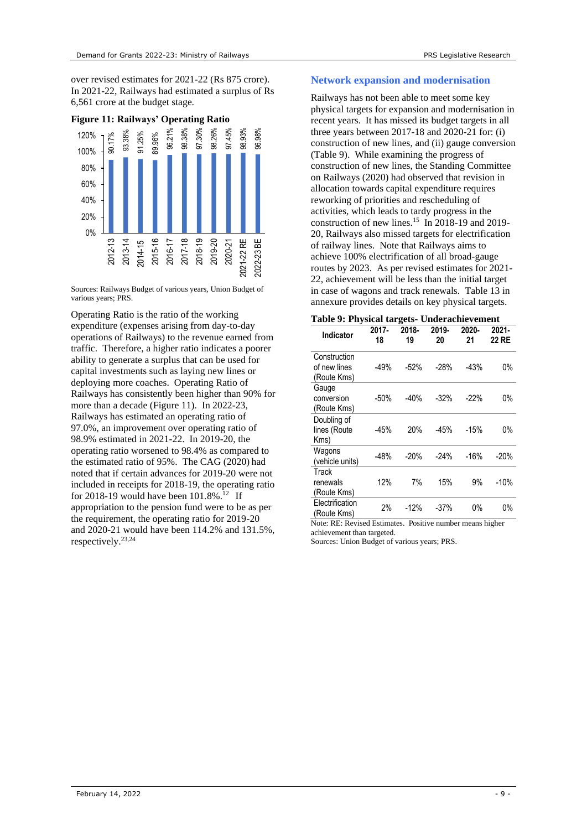over revised estimates for 2021-22 (Rs 875 crore). In 2021-22, Railways had estimated a surplus of Rs 6,561 crore at the budget stage.

<span id="page-8-0"></span>**Figure 11: Railways' Operating Ratio** 



Sources: Railways Budget of various years, Union Budget of various years; PRS.

Operating Ratio is the ratio of the working expenditure (expenses arising from day-to-day operations of Railways) to the revenue earned from traffic. Therefore, a higher ratio indicates a poorer ability to generate a surplus that can be used for capital investments such as laying new lines or deploying more coaches. Operating Ratio of Railways has consistently been higher than 90% for more than a decade [\(Figure 11\)](#page-8-0). In 2022-23, Railways has estimated an operating ratio of 97.0%, an improvement over operating ratio of 98.9% estimated in 2021-22. In 2019-20, the operating ratio worsened to 98.4% as compared to the estimated ratio of 95%. The CAG (2020) had noted that if certain advances for 2019-20 were not included in receipts for 2018-19, the operating ratio for 2018-19 would have been  $101.8\%$ .<sup>[12](#page-4-0)</sup> If appropriation to the pension fund were to be as per the requirement, the operating ratio for 2019-20 and 2020-21 would have been 114.2% and 131.5%, respectively.23,24

#### **Network expansion and modernisation**

Railways has not been able to meet some key physical targets for expansion and modernisation in recent years. It has missed its budget targets in all three years between 2017-18 and 2020-21 for: (i) construction of new lines, and (ii) gauge conversion [\(Table 9\)](#page-8-1). While examining the progress of construction of new lines, the Standing Committee on Railways (2020) had observed that revision in allocation towards capital expenditure requires reworking of priorities and rescheduling of activities, which leads to tardy progress in the construction of new lines.<sup>[15](#page-4-4)</sup> In 2018-19 and 2019-20, Railways also missed targets for electrification of railway lines. Note that Railways aims to achieve 100% electrification of all broad-gauge routes by 2023. As per revised estimates for 2021- 22, achievement will be less than the initial target in case of wagons and track renewals. [Table 13](#page-11-0) in annexure provides details on key physical targets.

<span id="page-8-1"></span>

|  |  |  | Table 9: Physical targets- Underachievement |
|--|--|--|---------------------------------------------|
|--|--|--|---------------------------------------------|

| Indicator                                         | 2017-<br>18 | 2018-<br>19 | 2019-<br>20 | 2020-<br>21 | $2021 -$<br>22 RE |
|---------------------------------------------------|-------------|-------------|-------------|-------------|-------------------|
| Construction<br>of new lines                      | $-49%$      | $-52%$      | -28%        | $-43%$      | 0%                |
| (Route Kms)<br>Gauge<br>conversion<br>(Route Kms) | $-50%$      | $-40%$      | $-32%$      | $-22%$      | 0%                |
| Doubling of<br>lines (Route<br>Kms)               | $-45%$      | 20%         | $-45%$      | $-15%$      | 0%                |
| Wagons<br>(vehicle units)                         | $-48%$      | $-20%$      | $-24%$      | $-16%$      | $-20%$            |
| Track<br>renewals<br>(Route Kms)                  | 12%         | 7%          | 15%         | 9%          | $-10%$            |
| Electrification<br>(Route Kms)                    | 2%          | $-12%$      | $-37%$      | 0%          | 0%                |

Note: RE: Revised Estimates. Positive number means higher achievement than targeted.

Sources: Union Budget of various years; PRS.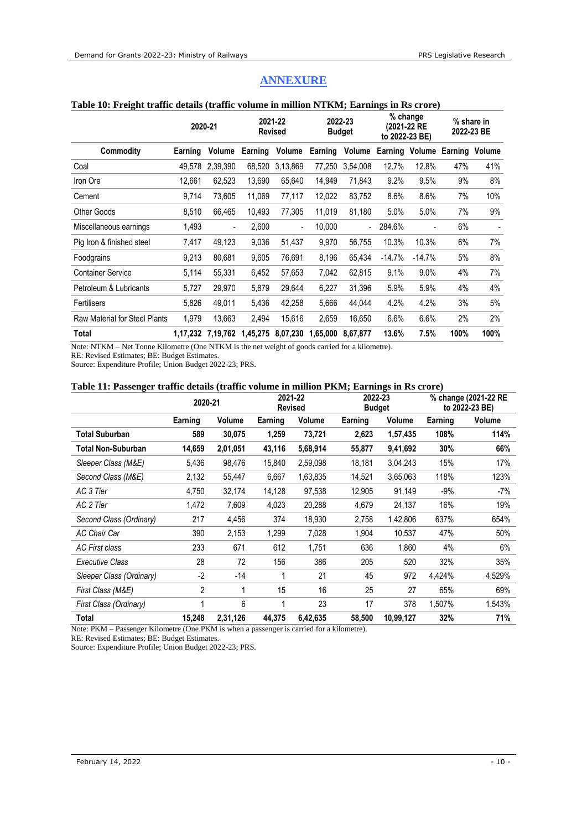|                               |          | 2020-21                  | <b>Revised</b> | 2021-22  |          | 2022-23<br><b>Budget</b> | % change<br>(2021-22 RE<br>to 2022-23 BE) |                | % share in<br>2022-23 BE |      |
|-------------------------------|----------|--------------------------|----------------|----------|----------|--------------------------|-------------------------------------------|----------------|--------------------------|------|
| Commodity                     | Earning  | Volume                   | Earning        | Volume   | Earning  | Volume                   |                                           | Earning Volume | Earning Volume           |      |
| Coal                          | 49.578   | 2,39,390                 | 68,520         | 3,13,869 | 77.250   | 3.54.008                 | 12.7%                                     | 12.8%          | 47%                      | 41%  |
| Iron Ore                      | 12,661   | 62,523                   | 13,690         | 65,640   | 14,949   | 71,843                   | 9.2%                                      | 9.5%           | 9%                       | 8%   |
| Cement                        | 9,714    | 73,605                   | 11,069         | 77,117   | 12,022   | 83,752                   | 8.6%                                      | 8.6%           | 7%                       | 10%  |
| <b>Other Goods</b>            | 8,510    | 66,465                   | 10,493         | 77,305   | 11,019   | 81,180                   | 5.0%                                      | 5.0%           | 7%                       | 9%   |
| Miscellaneous earnings        | 1,493    | $\overline{\phantom{a}}$ | 2,600          | -        | 10,000   | $\overline{\phantom{a}}$ | 284.6%                                    |                | 6%                       |      |
| Pig Iron & finished steel     | 7,417    | 49,123                   | 9,036          | 51,437   | 9,970    | 56,755                   | 10.3%                                     | 10.3%          | 6%                       | 7%   |
| Foodgrains                    | 9,213    | 80,681                   | 9,605          | 76,691   | 8,196    | 65.434                   | $-14.7%$                                  | $-14.7%$       | 5%                       | 8%   |
| <b>Container Service</b>      | 5,114    | 55,331                   | 6,452          | 57,653   | 7,042    | 62,815                   | 9.1%                                      | 9.0%           | 4%                       | 7%   |
| Petroleum & Lubricants        | 5,727    | 29,970                   | 5,879          | 29,644   | 6,227    | 31,396                   | 5.9%                                      | 5.9%           | 4%                       | 4%   |
| Fertilisers                   | 5,826    | 49.011                   | 5,436          | 42,258   | 5.666    | 44.044                   | 4.2%                                      | 4.2%           | 3%                       | 5%   |
| Raw Material for Steel Plants | 1,979    | 13,663                   | 2,494          | 15,616   | 2,659    | 16,650                   | 6.6%                                      | 6.6%           | 2%                       | 2%   |
| Total                         | 1,17,232 | 7.19.762                 | 1,45,275       | 8,07,230 | 1,65,000 | 8.67.877                 | 13.6%                                     | 7.5%           | 100%                     | 100% |

# **ANNEXURE**

# **Table 10: Freight traffic details (traffic volume in million NTKM; Earnings in Rs crore)**

Note: NTKM – Net Tonne Kilometre (One NTKM is the net weight of goods carried for a kilometre).

RE: Revised Estimates; BE: Budget Estimates.

Source: Expenditure Profile; Union Budget 2022-23; PRS.

#### **Table 11: Passenger traffic details (traffic volume in million PKM; Earnings in Rs crore)**

|                          | 2020-21        |          |         | 2021-22<br><b>Revised</b> |         | 2022-23<br><b>Budget</b> |         | % change (2021-22 RE<br>to 2022-23 BE) |  |
|--------------------------|----------------|----------|---------|---------------------------|---------|--------------------------|---------|----------------------------------------|--|
|                          | Earning        | Volume   | Earning | Volume                    | Earning | Volume                   | Earning | Volume                                 |  |
| Total Suburban           | 589            | 30,075   | 1,259   | 73,721                    | 2,623   | 1,57,435                 | 108%    | 114%                                   |  |
| Total Non-Suburban       | 14,659         | 2,01,051 | 43,116  | 5,68,914                  | 55,877  | 9,41,692                 | 30%     | 66%                                    |  |
| Sleeper Class (M&E)      | 5,436          | 98,476   | 15,840  | 2,59,098                  | 18,181  | 3,04,243                 | 15%     | 17%                                    |  |
| Second Class (M&E)       | 2,132          | 55,447   | 6,667   | 1,63,835                  | 14,521  | 3,65,063                 | 118%    | 123%                                   |  |
| AC 3 Tier                | 4,750          | 32,174   | 14,128  | 97,538                    | 12,905  | 91,149                   | $-9%$   | $-7%$                                  |  |
| AC 2 Tier                | 1,472          | 7,609    | 4,023   | 20,288                    | 4,679   | 24,137                   | 16%     | 19%                                    |  |
| Second Class (Ordinary)  | 217            | 4,456    | 374     | 18,930                    | 2,758   | 1,42,806                 | 637%    | 654%                                   |  |
| <b>AC Chair Car</b>      | 390            | 2,153    | 1,299   | 7,028                     | 1,904   | 10,537                   | 47%     | 50%                                    |  |
| AC First class           | 233            | 671      | 612     | 1,751                     | 636     | 1,860                    | 4%      | 6%                                     |  |
| <b>Executive Class</b>   | 28             | 72       | 156     | 386                       | 205     | 520                      | 32%     | 35%                                    |  |
| Sleeper Class (Ordinary) | $-2$           | $-14$    |         | 21                        | 45      | 972                      | 4,424%  | 4,529%                                 |  |
| First Class (M&E)        | $\overline{2}$ |          | 15      | 16                        | 25      | 27                       | 65%     | 69%                                    |  |
| First Class (Ordinary)   | 1              | 6        |         | 23                        | 17      | 378                      | 1,507%  | 1,543%                                 |  |
| Total                    | 15,248         | 2,31,126 | 44,375  | 6,42,635                  | 58,500  | 10,99,127                | 32%     | 71%                                    |  |

Note: PKM – Passenger Kilometre (One PKM is when a passenger is carried for a kilometre).

RE: Revised Estimates; BE: Budget Estimates.

Source: Expenditure Profile; Union Budget 2022-23; PRS.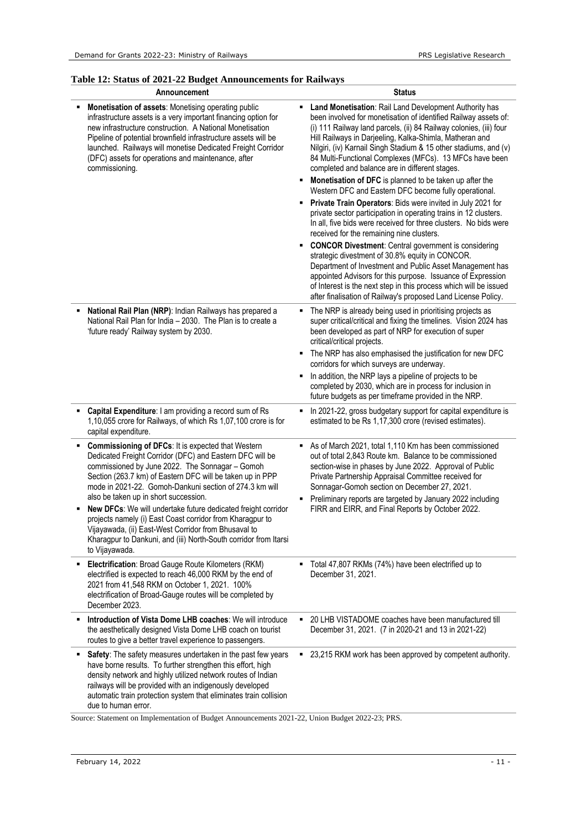# <span id="page-10-0"></span>**Table 12: Status of 2021-22 Budget Announcements for Railways**

| Announcement                                                                                                                                                                                                                                                                                                                                                                                                                                                                                                                                                                                                   | <b>Status</b>                                                                                                                                                                                                                                                                                                                                                                                                                                                                                                                                                                                                                                                                                                                                                                                                                                                                                                                                                                                                                                                                                                                                                                                                        |  |  |  |  |
|----------------------------------------------------------------------------------------------------------------------------------------------------------------------------------------------------------------------------------------------------------------------------------------------------------------------------------------------------------------------------------------------------------------------------------------------------------------------------------------------------------------------------------------------------------------------------------------------------------------|----------------------------------------------------------------------------------------------------------------------------------------------------------------------------------------------------------------------------------------------------------------------------------------------------------------------------------------------------------------------------------------------------------------------------------------------------------------------------------------------------------------------------------------------------------------------------------------------------------------------------------------------------------------------------------------------------------------------------------------------------------------------------------------------------------------------------------------------------------------------------------------------------------------------------------------------------------------------------------------------------------------------------------------------------------------------------------------------------------------------------------------------------------------------------------------------------------------------|--|--|--|--|
| Monetisation of assets: Monetising operating public<br>infrastructure assets is a very important financing option for<br>new infrastructure construction. A National Monetisation<br>Pipeline of potential brownfield infrastructure assets will be<br>launched. Railways will monetise Dedicated Freight Corridor<br>(DFC) assets for operations and maintenance, after<br>commissioning.                                                                                                                                                                                                                     | <b>E</b> Land Monetisation: Rail Land Development Authority has<br>been involved for monetisation of identified Railway assets of:<br>(i) 111 Railway land parcels, (ii) 84 Railway colonies, (iii) four<br>Hill Railways in Darjeeling, Kalka-Shimla, Matheran and<br>Nilgiri, (iv) Karnail Singh Stadium & 15 other stadiums, and (v)<br>84 Multi-Functional Complexes (MFCs). 13 MFCs have been<br>completed and balance are in different stages.<br>Monetisation of DFC is planned to be taken up after the<br>Western DFC and Eastern DFC become fully operational.<br>Private Train Operators: Bids were invited in July 2021 for<br>private sector participation in operating trains in 12 clusters.<br>In all, five bids were received for three clusters. No bids were<br>received for the remaining nine clusters.<br><b>CONCOR Divestment:</b> Central government is considering<br>٠<br>strategic divestment of 30.8% equity in CONCOR.<br>Department of Investment and Public Asset Management has<br>appointed Advisors for this purpose. Issuance of Expression<br>of Interest is the next step in this process which will be issued<br>after finalisation of Railway's proposed Land License Policy. |  |  |  |  |
| National Rail Plan (NRP): Indian Railways has prepared a<br>National Rail Plan for India - 2030. The Plan is to create a<br>'future ready' Railway system by 2030.                                                                                                                                                                                                                                                                                                                                                                                                                                             | The NRP is already being used in prioritising projects as<br>super critical/critical and fixing the timelines. Vision 2024 has<br>been developed as part of NRP for execution of super<br>critical/critical projects.<br>The NRP has also emphasised the justification for new DFC<br>٠<br>corridors for which surveys are underway.<br>In addition, the NRP lays a pipeline of projects to be<br>completed by 2030, which are in process for inclusion in<br>future budgets as per timeframe provided in the NRP.                                                                                                                                                                                                                                                                                                                                                                                                                                                                                                                                                                                                                                                                                                   |  |  |  |  |
| Capital Expenditure: I am providing a record sum of Rs<br>1,10,055 crore for Railways, of which Rs 1,07,100 crore is for<br>capital expenditure.                                                                                                                                                                                                                                                                                                                                                                                                                                                               | In 2021-22, gross budgetary support for capital expenditure is<br>٠<br>estimated to be Rs 1,17,300 crore (revised estimates).                                                                                                                                                                                                                                                                                                                                                                                                                                                                                                                                                                                                                                                                                                                                                                                                                                                                                                                                                                                                                                                                                        |  |  |  |  |
| Commissioning of DFCs: It is expected that Western<br>Dedicated Freight Corridor (DFC) and Eastern DFC will be<br>commissioned by June 2022. The Sonnagar - Gomoh<br>Section (263.7 km) of Eastern DFC will be taken up in PPP<br>mode in 2021-22. Gomoh-Dankuni section of 274.3 km will<br>also be taken up in short succession.<br>New DFCs: We will undertake future dedicated freight corridor<br>projects namely (i) East Coast corridor from Kharagpur to<br>Vijayawada, (ii) East-West Corridor from Bhusaval to<br>Kharagpur to Dankuni, and (iii) North-South corridor from Itarsi<br>to Vijayawada. | As of March 2021, total 1,110 Km has been commissioned<br>out of total 2,843 Route km. Balance to be commissioned<br>section-wise in phases by June 2022. Approval of Public<br>Private Partnership Appraisal Committee received for<br>Sonnagar-Gomoh section on December 27, 2021.<br>Preliminary reports are targeted by January 2022 including<br>FIRR and EIRR, and Final Reports by October 2022.                                                                                                                                                                                                                                                                                                                                                                                                                                                                                                                                                                                                                                                                                                                                                                                                              |  |  |  |  |
| Electrification: Broad Gauge Route Kilometers (RKM)<br>٠<br>electrified is expected to reach 46,000 RKM by the end of<br>2021 from 41,548 RKM on October 1, 2021. 100%<br>electrification of Broad-Gauge routes will be completed by<br>December 2023.                                                                                                                                                                                                                                                                                                                                                         | Total 47,807 RKMs (74%) have been electrified up to<br>December 31, 2021.                                                                                                                                                                                                                                                                                                                                                                                                                                                                                                                                                                                                                                                                                                                                                                                                                                                                                                                                                                                                                                                                                                                                            |  |  |  |  |
| Introduction of Vista Dome LHB coaches: We will introduce<br>the aesthetically designed Vista Dome LHB coach on tourist<br>routes to give a better travel experience to passengers.                                                                                                                                                                                                                                                                                                                                                                                                                            | • 20 LHB VISTADOME coaches have been manufactured till<br>December 31, 2021. (7 in 2020-21 and 13 in 2021-22)                                                                                                                                                                                                                                                                                                                                                                                                                                                                                                                                                                                                                                                                                                                                                                                                                                                                                                                                                                                                                                                                                                        |  |  |  |  |
| Safety: The safety measures undertaken in the past few years<br>٠<br>have borne results. To further strengthen this effort, high<br>density network and highly utilized network routes of Indian<br>railways will be provided with an indigenously developed<br>automatic train protection system that eliminates train collision<br>due to human error.                                                                                                                                                                                                                                                       | ■ 23,215 RKM work has been approved by competent authority.                                                                                                                                                                                                                                                                                                                                                                                                                                                                                                                                                                                                                                                                                                                                                                                                                                                                                                                                                                                                                                                                                                                                                          |  |  |  |  |

Source: Statement on Implementation of Budget Announcements 2021-22, Union Budget 2022-23; PRS.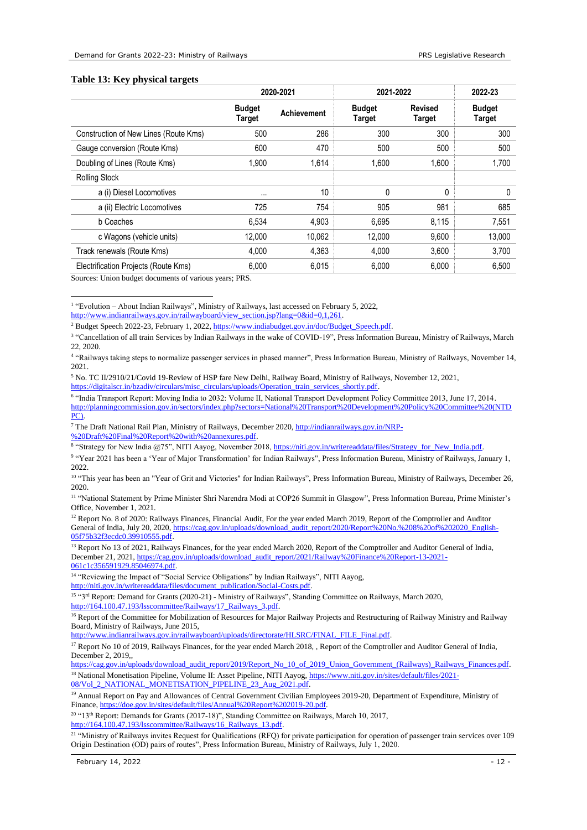#### <span id="page-11-0"></span>**Table 13: Key physical targets**

|                                       |                                | 2020-2021          | 2021-2022               | 2022-23                         |                                |
|---------------------------------------|--------------------------------|--------------------|-------------------------|---------------------------------|--------------------------------|
|                                       | <b>Budget</b><br><b>Target</b> | <b>Achievement</b> | <b>Budget</b><br>Target | <b>Revised</b><br><b>Target</b> | <b>Budget</b><br><b>Target</b> |
| Construction of New Lines (Route Kms) | 500                            | 286                | 300                     | 300                             | 300                            |
| Gauge conversion (Route Kms)          | 600                            | 470                | 500                     | 500                             | 500                            |
| Doubling of Lines (Route Kms)         | 1,900                          | 1.614              | 1,600                   | 1.600                           | 1,700                          |
| <b>Rolling Stock</b>                  |                                |                    |                         |                                 |                                |
| a (i) Diesel Locomotives              | $\cdots$                       | 10                 | 0                       | $\Omega$                        | 0                              |
| a (ii) Electric Locomotives           | 725                            | 754                | 905                     | 981                             | 685                            |
| b Coaches                             | 6,534                          | 4,903              | 6,695                   | 8,115                           | 7,551                          |
| c Wagons (vehicle units)              | 12.000                         | 10.062             | 12.000                  | 9.600                           | 13,000                         |
| Track renewals (Route Kms)            | 4.000                          | 4.363              | 4.000                   | 3.600                           | 3,700                          |
| Electrification Projects (Route Kms)  | 6,000                          | 6,015              | 6,000                   | 6,000                           | 6,500                          |

Sources: Union budget documents of various years; PRS.

[http://www.indianrailways.gov.in/railwayboard/view\\_section.jsp?lang=0&id=0,1,261.](http://www.indianrailways.gov.in/railwayboard/view_section.jsp?lang=0&id=0,1,261) 

<sup>5</sup> No. TC II/2910/21/Covid 19-Review of HSP fare New Delhi, Railway Board, Ministry of Railways, November 12, 2021, https://digitalscr.in/bzadiv/circulars/misc\_circulars/uploads/Operation

6 "India Transport Report: Moving India to 2032: Volume II, National Transport Development Policy Committee 2013, June 17, 2014. [http://planningcommission.gov.in/sectors/index.php?sectors=National%20Transport%20Development%20Policy%20Committee%20\(NTD](http://planningcommission.gov.in/sectors/index.php?sectors=National%20Transport%20Development%20Policy%20Committee%20(NTDPC)) [PC\).](http://planningcommission.gov.in/sectors/index.php?sectors=National%20Transport%20Development%20Policy%20Committee%20(NTDPC)) 

<sup>7</sup> The Draft National Rail Plan, Ministry of Railways, December 2020, [http://indianrailways.gov.in/NRP-](http://indianrailways.gov.in/NRP-%20Draft%20Final%20Report%20with%20annexures.pdf) [%20Draft%20Final%20Report%20with%20annexures.pdf.](http://indianrailways.gov.in/NRP-%20Draft%20Final%20Report%20with%20annexures.pdf) 

9 "Year 2021 has been a 'Year of Major Transformation' for Indian Railways", Press Information Bureau, Ministry of Railways, January 1, 2022.

<sup>12</sup> Report No. 8 of 2020: Railways Finances, Financial Audit, For the year ended March 2019, Report of the Comptroller and Auditor General of India, July 20, 2020, [https://cag.gov.in/uploads/download\\_audit\\_report/2020/Report%20No.%208%20of%202020\\_English-](https://cag.gov.in/uploads/download_audit_report/2020/Report%20No.%208%20of%202020_English-05f75b32f3ecdc0.39910555.pdf)[05f75b32f3ecdc0.39910555.pdf.](https://cag.gov.in/uploads/download_audit_report/2020/Report%20No.%208%20of%202020_English-05f75b32f3ecdc0.39910555.pdf) 

<sup>13</sup> Report No 13 of 2021, Railways Finances, for the year ended March 2020, Report of the Comptroller and Auditor General of India, December 21, 2021, [https://cag.gov.in/uploads/download\\_audit\\_report/2021/Railway%20Finance%20Report-13-2021-](https://cag.gov.in/uploads/download_audit_report/2021/Railway%20Finance%20Report-13-2021-061c1c356591929.85046974.pdf) [061c1c356591929.85046974.pdf.](https://cag.gov.in/uploads/download_audit_report/2021/Railway%20Finance%20Report-13-2021-061c1c356591929.85046974.pdf) 

<sup>14</sup> "Reviewing the Impact of "Social Service Obligations" by Indian Railways", NITI Aayog,

http://niti.gov.in/writereaddata/files/document\_publication/Social-Costs.pd

<sup>15 "3rd</sup> Report: Demand for Grants (2020-21) - Ministry of Railways", Standing Committee on Railways, March 2020, [http://164.100.47.193/lsscommittee/Railways/17\\_Railways\\_3.pdf.](http://164.100.47.193/lsscommittee/Railways/17_Railways_3.pdf)

<sup>16</sup> Report of the Committee for Mobilization of Resources for Major Railway Projects and Restructuring of Railway Ministry and Railway Board, Ministry of Railways, June 2015,

[http://www.indianrailways.gov.in/railwayboard/uploads/directorate/HLSRC/FINAL\\_FILE\\_Final.pdf.](http://www.indianrailways.gov.in/railwayboard/uploads/directorate/HLSRC/FINAL_FILE_Final.pdf)

[https://cag.gov.in/uploads/download\\_audit\\_report/2019/Report\\_No\\_10\\_of\\_2019\\_Union\\_Government\\_\(Railways\)\\_Railways\\_Finances.pdf.](https://cag.gov.in/uploads/download_audit_report/2019/Report_No_10_of_2019_Union_Government_(Railways)_Railways_Finances.pdf) <sup>18</sup> National Monetisation Pipeline, Volume II: Asset Pipeline, NITI Aayog[, https://www.niti.gov.in/sites/default/files/2021-](https://www.niti.gov.in/sites/default/files/2021-08/Vol_2_NATIONAL_MONETISATION_PIPELINE_23_Aug_2021.pdf)

[08/Vol\\_2\\_NATIONAL\\_MONETISATION\\_PIPELINE\\_23\\_Aug\\_2021.pdf.](https://www.niti.gov.in/sites/default/files/2021-08/Vol_2_NATIONAL_MONETISATION_PIPELINE_23_Aug_2021.pdf)

<sup>19</sup> Annual Report on Pay and Allowances of Central Government Civilian Employees 2019-20, Department of Expenditure, Ministry of Finance[, https://doe.gov.in/sites/default/files/Annual%20Report%202019-20.pdf.](https://doe.gov.in/sites/default/files/Annual%20Report%202019-20.pdf) 

<sup>20</sup> "13th Report: Demands for Grants (2017-18)", Standing Committee on Railways, March 10, 2017, [http://164.100.47.193/lsscommittee/Railways/16\\_Railways\\_13.pdf.](http://164.100.47.193/lsscommittee/Railways/16_Railways_13.pdf)

<sup>21</sup> "Ministry of Railways invites Request for Qualifications (RFQ) for private participation for operation of passenger train services over 109 Origin Destination (OD) pairs of routes", Press Information Bureau, Ministry of Railways, July 1, 2020.

<sup>&</sup>lt;sup>1</sup> "Evolution – About Indian Railways", Ministry of Railways, last accessed on February 5, 2022,

<sup>2</sup> Budget Speech 2022-23, February 1, 2022[, https://www.indiabudget.gov.in/doc/Budget\\_Speech.pdf.](https://www.indiabudget.gov.in/doc/Budget_Speech.pdf) 

<sup>&</sup>lt;sup>3</sup> "Cancellation of all train Services by Indian Railways in the wake of COVID-19", Press Information Bureau, Ministry of Railways, March 22, 2020.

<sup>4</sup> "Railways taking steps to normalize passenger services in phased manner", Press Information Bureau, Ministry of Railways, November 14, 2021.

<sup>&</sup>lt;sup>8</sup> "Strategy for New India @75", NITI Aayog, November 2018[, https://niti.gov.in/writereaddata/files/Strategy\\_for\\_New\\_India.pdf.](https://niti.gov.in/writereaddata/files/Strategy_for_New_India.pdf)

<sup>&</sup>lt;sup>10</sup> "This year has been an "Year of Grit and Victories" for Indian Railways", Press Information Bureau, Ministry of Railways, December 26, 2020.

<sup>11</sup> "National Statement by Prime Minister Shri Narendra Modi at COP26 Summit in Glasgow", Press Information Bureau, Prime Minister's Office, November 1, 2021.

<sup>&</sup>lt;sup>17</sup> Report No 10 of 2019, Railways Finances, for the year ended March 2018, , Report of the Comptroller and Auditor General of India, December 2, 2019